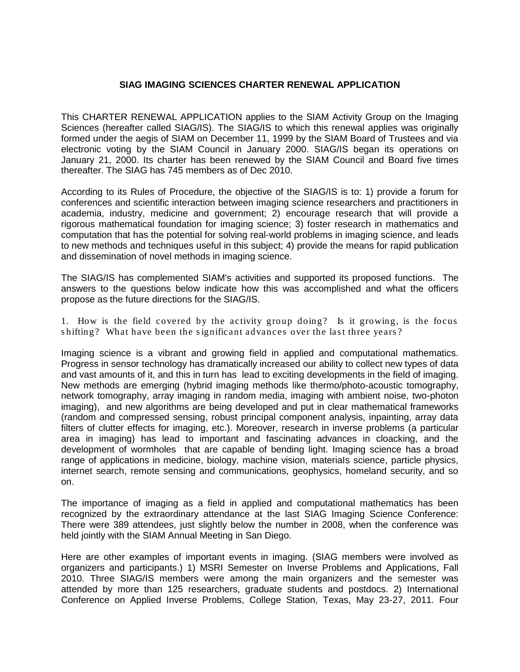## **SIAG IMAGING SCIENCES CHARTER RENEWAL APPLICATION**

This CHARTER RENEWAL APPLICATION applies to the SIAM Activity Group on the Imaging Sciences (hereafter called SIAG/IS). The SIAG/IS to which this renewal applies was originally formed under the aegis of SIAM on December 11, 1999 by the SIAM Board of Trustees and via electronic voting by the SIAM Council in January 2000. SIAG/IS began its operations on January 21, 2000. Its charter has been renewed by the SIAM Council and Board five times thereafter. The SIAG has 745 members as of Dec 2010.

According to its Rules of Procedure, the objective of the SIAG/IS is to: 1) provide a forum for conferences and scientific interaction between imaging science researchers and practitioners in academia, industry, medicine and government; 2) encourage research that will provide a rigorous mathematical foundation for imaging science; 3) foster research in mathematics and computation that has the potential for solving real-world problems in imaging science, and leads to new methods and techniques useful in this subject; 4) provide the means for rapid publication and dissemination of novel methods in imaging science.

The SIAG/IS has complemented SIAM's activities and supported its proposed functions. The answers to the questions below indicate how this was accomplished and what the officers propose as the future directions for the SIAG/IS.

1. How is the field covered by the activity group doing? Is it growing, is the focus shifting? What have been the significant advances over the last three years?

Imaging science is a vibrant and growing field in applied and computational mathematics. Progress in sensor technology has dramatically increased our ability to collect new types of data and vast amounts of it, and this in turn has lead to exciting developments in the field of imaging. New methods are emerging (hybrid imaging methods like thermo/photo-acoustic tomography, network tomography, array imaging in random media, imaging with ambient noise, two-photon imaging), and new algorithms are being developed and put in clear mathematical frameworks (random and compressed sensing, robust principal component analysis, inpainting, array data filters of clutter effects for imaging, etc.). Moreover, research in inverse problems (a particular area in imaging) has lead to important and fascinating advances in cloacking, and the development of wormholes that are capable of bending light. Imaging science has a broad range of applications in medicine, biology, machine vision, materials science, particle physics, internet search, remote sensing and communications, geophysics, homeland security, and so on.

The importance of imaging as a field in applied and computational mathematics has been recognized by the extraordinary attendance at the last SIAG Imaging Science Conference: There were 389 attendees, just slightly below the number in 2008, when the conference was held jointly with the SIAM Annual Meeting in San Diego.

Here are other examples of important events in imaging. (SIAG members were involved as organizers and participants.) 1) MSRI Semester on Inverse Problems and Applications, Fall 2010. Three SIAG/IS members were among the main organizers and the semester was attended by more than 125 researchers, graduate students and postdocs. 2) International Conference on Applied Inverse Problems, College Station, Texas, May 23-27, 2011. Four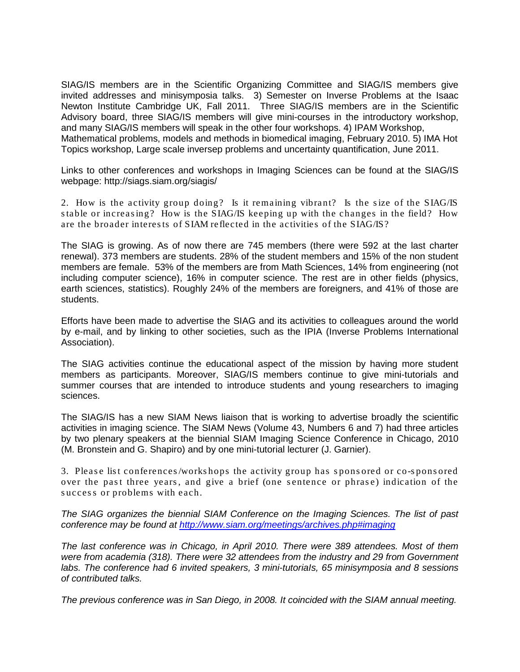SIAG/IS members are in the Scientific Organizing Committee and SIAG/IS members give invited addresses and minisymposia talks. 3) Semester on Inverse Problems at the Isaac Newton Institute Cambridge UK, Fall 2011. Three SIAG/IS members are in the Scientific Advisory board, three SIAG/IS members will give mini-courses in the introductory workshop, and many SIAG/IS members will speak in the other four workshops. 4) IPAM Workshop, Mathematical problems, models and methods in biomedical imaging, February 2010. 5) IMA Hot Topics workshop, Large scale inversep problems and uncertainty quantification, June 2011.

Links to other conferences and workshops in Imaging Sciences can be found at the SIAG/IS webpage: http://siags.siam.org/siagis/

2. How is the activity group doing? Is it remaining vibrant? Is the size of the SIAG/IS s table or increas ing? How is the SIAG/IS keeping up with the changes in the field? How are the broader interes ts of SIAM reflected in the activities of the SIAG/IS?

The SIAG is growing. As of now there are 745 members (there were 592 at the last charter renewal). 373 members are students. 28% of the student members and 15% of the non student members are female. 53% of the members are from Math Sciences, 14% from engineering (not including computer science), 16% in computer science. The rest are in other fields (physics, earth sciences, statistics). Roughly 24% of the members are foreigners, and 41% of those are students.

Efforts have been made to advertise the SIAG and its activities to colleagues around the world by e-mail, and by linking to other societies, such as the IPIA (Inverse Problems International Association).

The SIAG activities continue the educational aspect of the mission by having more student members as participants. Moreover, SIAG/IS members continue to give mini-tutorials and summer courses that are intended to introduce students and young researchers to imaging sciences.

The SIAG/IS has a new SIAM News liaison that is working to advertise broadly the scientific activities in imaging science. The SIAM News (Volume 43, Numbers 6 and 7) had three articles by two plenary speakers at the biennial SIAM Imaging Science Conference in Chicago, 2010 (M. Bronstein and G. Shapiro) and by one mini-tutorial lecturer (J. Garnier).

3. Please list conferences/workshops the activity group has sponsored or co-sponsored over the past three years, and give a brief (one sentence or phrase) indication of the success or problems with each.

*The SIAG organizes the biennial SIAM Conference on the Imaging Sciences. The list of past conference may be found at<http://www.siam.org/meetings/archives.php#imaging>*

*The last conference was in Chicago, in April 2010. There were 389 attendees. Most of them were from academia (318). There were 32 attendees from the industry and 29 from Government labs. The conference had 6 invited speakers, 3 mini-tutoriaIs, 65 minisymposia and 8 sessions of contributed talks.* 

*The previous conference was in San Diego, in 2008. It coincided with the SIAM annual meeting.*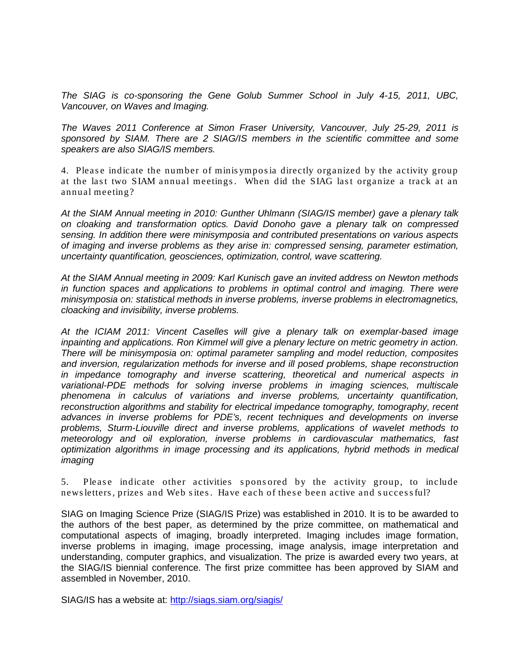*The SIAG is co-sponsoring the Gene Golub Summer School in July 4-15, 2011, UBC, Vancouver, on Waves and Imaging.* 

*The Waves 2011 Conference at Simon Fraser University, Vancouver, July 25-29, 2011 is sponsored by SIAM. There are 2 SIAG/IS members in the scientific committee and some speakers are also SIAG/IS members.*

4. Please indicate the number of minisymposia directly organized by the activity group at the last two SIAM annual meetings. When did the SIAG last organize a track at an annual meeting?

*At the SIAM Annual meeting in 2010: Gunther Uhlmann (SIAG/IS member) gave a plenary talk on cloaking and transformation optics. David Donoho gave a plenary talk on compressed sensing. In addition there were minisymposia and contributed presentations on various aspects of imaging and inverse problems as they arise in: compressed sensing, parameter estimation, uncertainty quantification, geosciences, optimization, control, wave scattering.* 

*At the SIAM Annual meeting in 2009: Karl Kunisch gave an invited address on Newton methods in function spaces and applications to problems in optimal control and imaging. There were minisymposia on: statistical methods in inverse problems, inverse problems in electromagnetics, cloacking and invisibility, inverse problems.*

*At the ICIAM 2011: Vincent Caselles will give a plenary talk on exemplar-based image inpainting and applications. Ron Kimmel will give a plenary lecture on metric geometry in action. There will be minisymposia on: optimal parameter sampling and model reduction, composites and inversion, regularization methods for inverse and ill posed problems, shape reconstruction in impedance tomography and inverse scattering, theoretical and numerical aspects in variational-PDE methods for solving inverse problems in imaging sciences, multiscale phenomena in calculus of variations and inverse problems, uncertainty quantification, reconstruction algorithms and stability for electrical impedance tomography, tomography, recent advances in inverse problems for PDE's, recent techniques and developments on inverse problems, Sturm-Liouville direct and inverse problems, applications of wavelet methods to meteorology and oil exploration, inverse problems in cardiovascular mathematics, fast optimization algorithms in image processing and its applications, hybrid methods in medical imaging*

5. Please indicate other activities sponsored by the activity group, to include news letters, prizes and Web sites. Have each of these been active and successful?

SIAG on Imaging Science Prize (SIAG/IS Prize) was established in 2010. It is to be awarded to the authors of the best paper, as determined by the prize committee, on mathematical and computational aspects of imaging, broadly interpreted. Imaging includes image formation, inverse problems in imaging, image processing, image analysis, image interpretation and understanding, computer graphics, and visualization. The prize is awarded every two years, at the SIAG/IS biennial conference. The first prize committee has been approved by SIAM and assembled in November, 2010.

SIAG/IS has a website at:<http://siags.siam.org/siagis/>